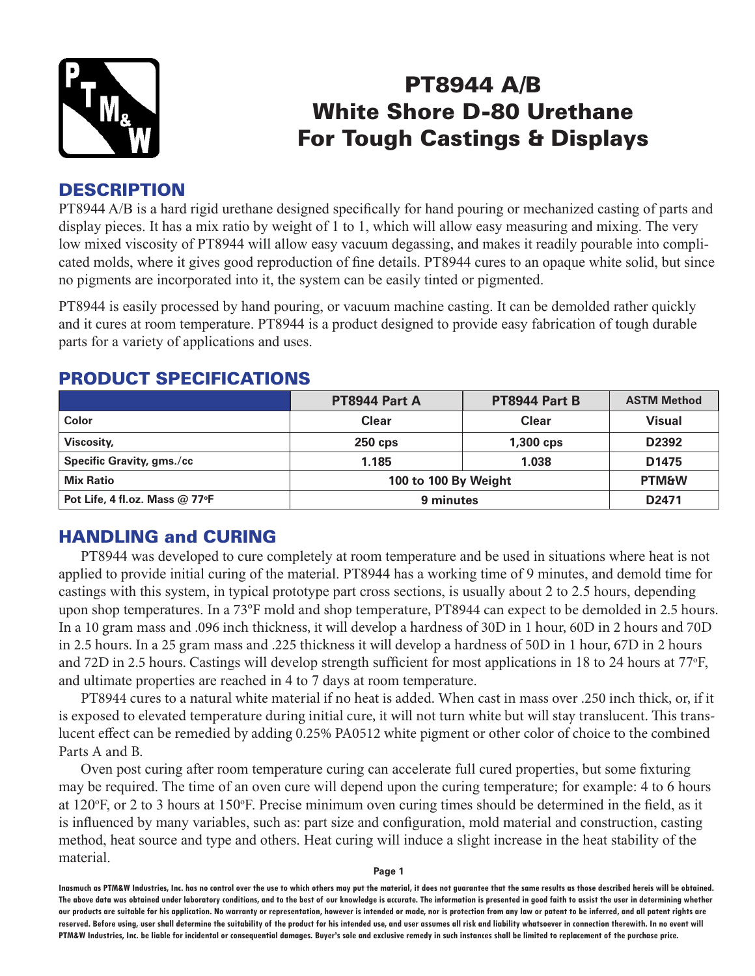

# PT8944 A/B White Shore D-80 Urethane For Tough Castings & Displays

## **DESCRIPTION**

PT8944 A/B is a hard rigid urethane designed specifically for hand pouring or mechanized casting of parts and display pieces. It has a mix ratio by weight of 1 to 1, which will allow easy measuring and mixing. The very low mixed viscosity of PT8944 will allow easy vacuum degassing, and makes it readily pourable into complicated molds, where it gives good reproduction of fine details. PT8944 cures to an opaque white solid, but since no pigments are incorporated into it, the system can be easily tinted or pigmented.

PT8944 is easily processed by hand pouring, or vacuum machine casting. It can be demolded rather quickly and it cures at room temperature. PT8944 is a product designed to provide easy fabrication of tough durable parts for a variety of applications and uses.

|                                  | PT8944 Part A        | <b>PT8944 Part B</b> | <b>ASTM Method</b> |
|----------------------------------|----------------------|----------------------|--------------------|
| Color                            | Clear                | Clear                | Visual             |
| Viscosity,                       | $250$ cps            | $1,300$ cps          | D2392              |
| <b>Specific Gravity, gms./cc</b> | 1.185                | 1.038                | D1475              |
| <b>Mix Ratio</b>                 | 100 to 100 By Weight |                      | <b>PTM&amp;W</b>   |
| Pot Life, 4 fl.oz. Mass @ 77°F   | 9 minutes            |                      | D <sub>2471</sub>  |

### PRODUCT SPECIFICATIONS

# HANDLING and CURING

PT8944 was developed to cure completely at room temperature and be used in situations where heat is not applied to provide initial curing of the material. PT8944 has a working time of 9 minutes, and demold time for castings with this system, in typical prototype part cross sections, is usually about 2 to 2.5 hours, depending upon shop temperatures. In a 73°F mold and shop temperature, PT8944 can expect to be demolded in 2.5 hours. In a 10 gram mass and .096 inch thickness, it will develop a hardness of 30D in 1 hour, 60D in 2 hours and 70D in 2.5 hours. In a 25 gram mass and .225 thickness it will develop a hardness of 50D in 1 hour, 67D in 2 hours and 72D in 2.5 hours. Castings will develop strength sufficient for most applications in 18 to 24 hours at 77°F, and ultimate properties are reached in 4 to 7 days at room temperature.

PT8944 cures to a natural white material if no heat is added. When cast in mass over .250 inch thick, or, if it is exposed to elevated temperature during initial cure, it will not turn white but will stay translucent. This translucent effect can be remedied by adding 0.25% PA0512 white pigment or other color of choice to the combined Parts A and B.

Oven post curing after room temperature curing can accelerate full cured properties, but some fixturing may be required. The time of an oven cure will depend upon the curing temperature; for example: 4 to 6 hours at 120°F, or 2 to 3 hours at 150°F. Precise minimum oven curing times should be determined in the field, as it is influenced by many variables, such as: part size and configuration, mold material and construction, casting method, heat source and type and others. Heat curing will induce a slight increase in the heat stability of the material.

**Page 1**

**Inasmuch as PTM&W Industries, Inc. has no control over the use to which others may put the material, it does not guarantee that the same results as those described hereis will be obtained. The above data was obtained under laboratory conditions, and to the best of our knowledge is accurate. The information is presented in good faith to assist the user in determining whether our products are suitable for his application. No warranty or representation, however is intended or made, nor is protection from any law or patent to be inferred, and all patent rights are**  reserved. Before using, user shall determine the suitability of the product for his intended use, and user assumes all risk and liability whatsoever in connection therewith. In no event will **PTM&W Industries, Inc. be liable for incidental or consequential damages. Buyer's sole and exclusive remedy in such instances shall be limited to replacement of the purchase price.**